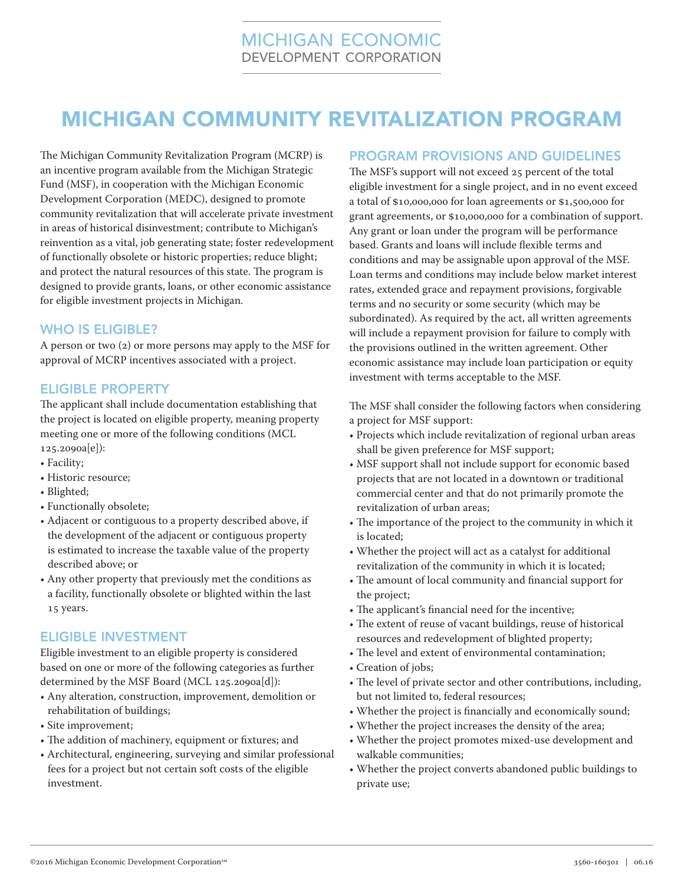# MICHIGAN COMMUNITY REVITALIZATION PROGRAM

The Michigan Community Revitalization Program (MCRP) is an incentive program available from the Michigan Strategic Fund (MSF), in cooperation with the Michigan Economic Development Corporation (MEDC), designed to promote community revitalization that will accelerate private investment in areas of historical disinvestment; contribute to Michigan's reinvention as a vital, job generating state; foster redevelopment of functionally obsolete or historic properties; reduce blight; and protect the natural resources of this state. The program is designed to provide grants, loans, or other economic assistance for eligible investment projects in Michigan.

### WHO IS ELIGIBLE?

A person or two (2) or more persons may apply to the MSF for approval of MCRP incentives associated with a project.

### ELIGIBLE PROPERTY

The applicant shall include documentation establishing that the project is located on eligible property, meaning property meeting one or more of the following conditions (MCL 125.2090a[e]):

- Facility;
- Historic resource;
- Blighted;
- Functionally obsolete;
- Adjacent or contiguous to a property described above, if the development of the adjacent or contiguous property is estimated to increase the taxable value of the property described above; or
- Any other property that previously met the conditions as a facility, functionally obsolete or blighted within the last 15 years.

### ELIGIBLE INVESTMENT

Eligible investment to an eligible property is considered based on one or more of the following categories as further determined by the MSF Board (MCL 125.2090a[d]):

- Any alteration, construction, improvement, demolition or rehabilitation of buildings;
- Site improvement;
- The addition of machinery, equipment or fixtures; and
- Architectural, engineering, surveying and similar professional fees for a project but not certain soft costs of the eligible investment.

### PROGRAM PROVISIONS AND GUIDELINES

The MSF's support will not exceed 25 percent of the total eligible investment for a single project, and in no event exceed a total of \$10,000,000 for loan agreements or \$1,500,000 for grant agreements, or \$10,000,000 for a combination of support. Any grant or loan under the program will be performance based. Grants and loans will include flexible terms and conditions and may be assignable upon approval of the MSF. Loan terms and conditions may include below market interest rates, extended grace and repayment provisions, forgivable terms and no security or some security (which may be subordinated). As required by the act, all written agreements will include a repayment provision for failure to comply with the provisions outlined in the written agreement. Other economic assistance may include loan participation or equity investment with terms acceptable to the MSF.

The MSF shall consider the following factors when considering a project for MSF support:

- Projects which include revitalization of regional urban areas shall be given preference for MSF support;
- MSF support shall not include support for economic based projects that are not located in a downtown or traditional commercial center and that do not primarily promote the revitalization of urban areas;
- The importance of the project to the community in which it is located;
- Whether the project will act as a catalyst for additional revitalization of the community in which it is located;
- The amount of local community and financial support for the project;
- The applicant's financial need for the incentive;
- The extent of reuse of vacant buildings, reuse of historical resources and redevelopment of blighted property;
- The level and extent of environmental contamination;
- Creation of jobs;
- The level of private sector and other contributions, including, but not limited to, federal resources;
- Whether the project is financially and economically sound;
- Whether the project increases the density of the area;
- Whether the project promotes mixed-use development and walkable communities;
- Whether the project converts abandoned public buildings to private use;